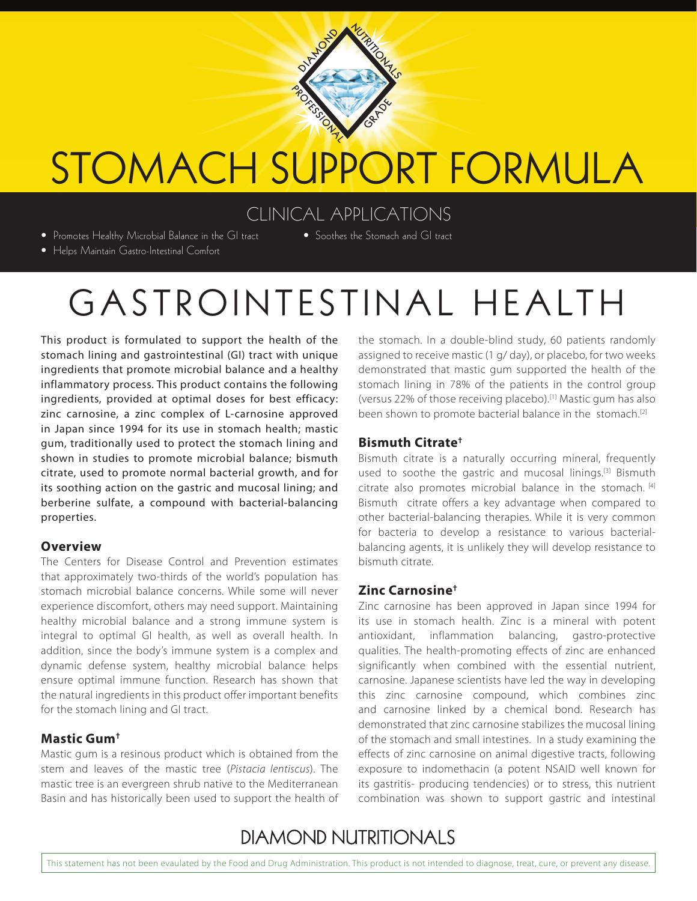

# STOMACH SUPPORT FORMULA

## CLINICAL APPLICATIONS

• Promotes Healthy Microbial Balance in the GI tract

• Soothes the Stomach and GI tract

• Helps Maintain Gastro-Intestinal Comfort

## GASTROINTESTINAL HEALTH

This product is formulated to support the health of the stomach lining and gastrointestinal (GI) tract with unique ingredients that promote microbial balance and a healthy inflammatory process. This product contains the following ingredients, provided at optimal doses for best efficacy: zinc carnosine, a zinc complex of L-carnosine approved in Japan since 1994 for its use in stomach health; mastic gum, traditionally used to protect the stomach lining and shown in studies to promote microbial balance; bismuth citrate, used to promote normal bacterial growth, and for its soothing action on the gastric and mucosal lining; and berberine sulfate, a compound with bacterial-balancing properties.

#### **Overview**

The Centers for Disease Control and Prevention estimates that approximately two-thirds of the world's population has stomach microbial balance concerns. While some will never experience discomfort, others may need support. Maintaining healthy microbial balance and a strong immune system is integral to optimal GI health, as well as overall health. In addition, since the body's immune system is a complex and dynamic defense system, healthy microbial balance helps ensure optimal immune function. Research has shown that the natural ingredients in this product offer important benefits for the stomach lining and GI tract.

#### **Mastic Gum†**

Mastic gum is a resinous product which is obtained from the stem and leaves of the mastic tree (*Pistacia lentiscus*). The mastic tree is an evergreen shrub native to the Mediterranean Basin and has historically been used to support the health of the stomach. In a double-blind study, 60 patients randomly assigned to receive mastic (1 g/ day), or placebo, for two weeks demonstrated that mastic gum supported the health of the stomach lining in 78% of the patients in the control group (versus 22% of those receiving placebo).[1] Mastic gum has also been shown to promote bacterial balance in the stomach.<sup>[2]</sup>

## **Bismuth Citrate†**

Bismuth citrate is a naturally occurring mineral, frequently used to soothe the gastric and mucosal linings.<sup>[3]</sup> Bismuth citrate also promotes microbial balance in the stomach. [4] Bismuth citrate offers a key advantage when compared to other bacterial-balancing therapies. While it is very common for bacteria to develop a resistance to various bacterialbalancing agents, it is unlikely they will develop resistance to bismuth citrate.

## **Zinc Carnosine†**

Zinc carnosine has been approved in Japan since 1994 for its use in stomach health. Zinc is a mineral with potent antioxidant, inflammation balancing, gastro-protective qualities. The health-promoting effects of zinc are enhanced significantly when combined with the essential nutrient, carnosine. Japanese scientists have led the way in developing this zinc carnosine compound, which combines zinc and carnosine linked by a chemical bond. Research has demonstrated that zinc carnosine stabilizes the mucosal lining of the stomach and small intestines. In a study examining the effects of zinc carnosine on animal digestive tracts, following exposure to indomethacin (a potent NSAID well known for its gastritis- producing tendencies) or to stress, this nutrient combination was shown to support gastric and intestinal

## **DIAMOND NUTRITIONALS**